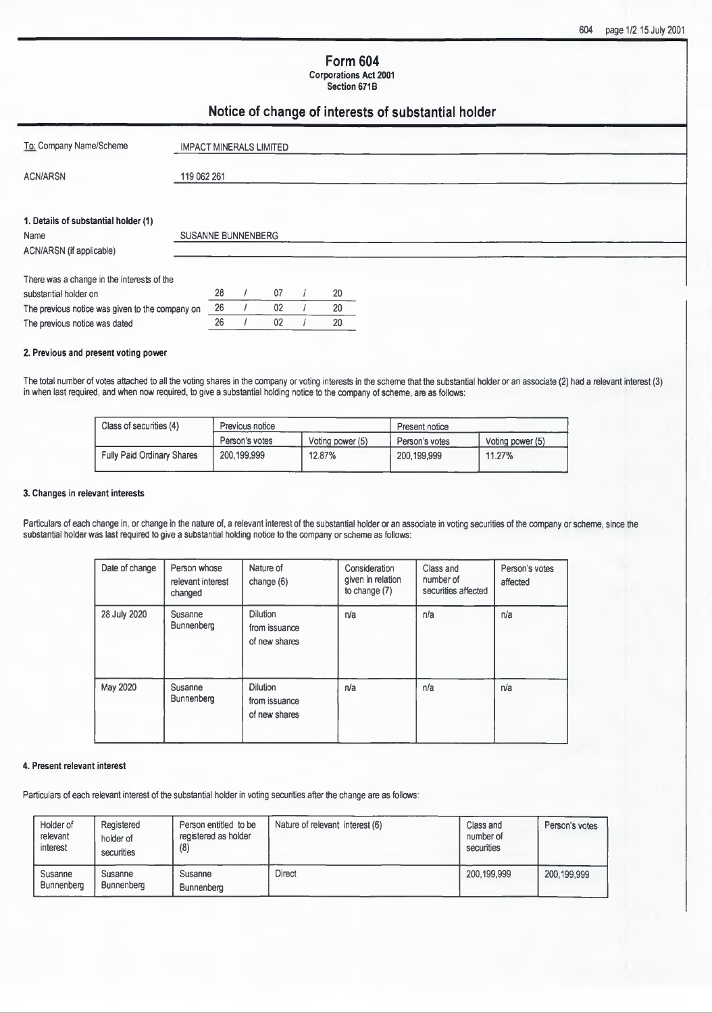### **Form 604 Corporations Act 2001**

**Section 671B**

# **Notice of change of interests of substantial holder**

| To: Company Name/Scheme                         | <b>IMPACT MINERALS LIMITED</b> |    |    |    |  |  |  |  |
|-------------------------------------------------|--------------------------------|----|----|----|--|--|--|--|
| <b>ACN/ARSN</b>                                 | 119 062 261                    |    |    |    |  |  |  |  |
|                                                 |                                |    |    |    |  |  |  |  |
| 1. Details of substantial holder (1)            |                                |    |    |    |  |  |  |  |
| Name                                            | <b>SUSANNE BUNNENBERG</b>      |    |    |    |  |  |  |  |
| ACN/ARSN (if applicable)                        |                                |    |    |    |  |  |  |  |
| There was a change in the interests of the      |                                |    |    |    |  |  |  |  |
| substantial holder on                           |                                | 28 | 07 | 20 |  |  |  |  |
| The previous notice was given to the company on |                                | 26 | 02 | 20 |  |  |  |  |
| The previous notice was dated                   |                                | 26 | 02 | 20 |  |  |  |  |

### **2. Previous and present voting power**

**The total number of votes attached to all the voting shares in the Company or voting interests in the scheme that the substantial holder or an associate** (2) **had a relevant interest** (3) **in when last required, and when now required, to give a substantial holding notice to the Company of scheme, are as follows:**

| Class of securities (4)           | Previous notice |                  | Present notice |                  |  |
|-----------------------------------|-----------------|------------------|----------------|------------------|--|
|                                   | Person's votes  | Voting power (5) | Person's votes | Voting power (5) |  |
| <b>Fully Paid Ordinary Shares</b> | 200,199,999     | 12.87%           | 200,199,999    | 11.27%           |  |

### **3. Changes in relevant interests**

Particulars of each change in, or change in the nature of, a relevant interest of the substantial holder or an associate in voting securities of the company or scheme, since the **substantial holder was last required to give a substantial holding notice to the Company or scheme as follows:**

| Date of change | Person whose<br>relevant interest<br>changed | Nature of<br>change $(6)$                         | Consideration<br>given in relation<br>to change (7) | Class and<br>number of<br>securities affected | Person's votes<br>affected |
|----------------|----------------------------------------------|---------------------------------------------------|-----------------------------------------------------|-----------------------------------------------|----------------------------|
| 28 July 2020   | Susanne<br>Bunnenberg                        | Dilution<br>from issuance<br>of new shares        | n/a                                                 | n/a                                           | n/a                        |
| May 2020       | Susanne<br>Bunnenberg                        | <b>Dilution</b><br>from issuance<br>of new shares | n/a                                                 | n/a                                           | n/a                        |

#### **4. Present relevant interest**

Particulars of each relevant interest of the substantial holder in voting securities after the change are as follows:

| Holder of<br>relevant<br>interest | Registered<br>holder of<br>securities | Person entitled to be<br>registered as holder<br>(8) | Nature of relevant interest (6) | Class and<br>number of<br>securities | Person's votes |
|-----------------------------------|---------------------------------------|------------------------------------------------------|---------------------------------|--------------------------------------|----------------|
| Susanne<br><b>Bunnenberg</b>      | Susanne<br><b>Bunnenberg</b>          | Susanne<br>Bunnenberg                                | <b>Direct</b>                   | 200.199.999                          | 200,199,999    |